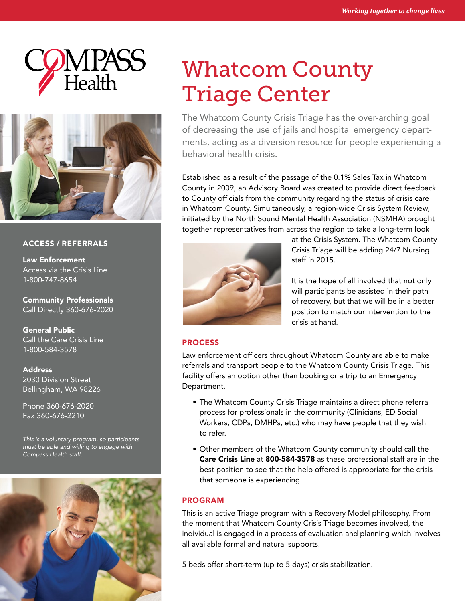



### ACCESS / REFERRALS

Law Enforcement Access via the Crisis Line 1-800-747-8654

Community Professionals Call Directly 360-676-2020

General Public Call the Care Crisis Line 1-800-584-3578

Address 2030 Division Street Bellingham, WA 98226

Phone 360-676-2020 Fax 360-676-2210

*This is a voluntary program, so participants must be able and willing to engage with Compass Health staff.*



# Whatcom County Triage Center

The Whatcom County Crisis Triage has the over-arching goal of decreasing the use of jails and hospital emergency departments, acting as a diversion resource for people experiencing a behavioral health crisis.

Established as a result of the passage of the 0.1% Sales Tax in Whatcom County in 2009, an Advisory Board was created to provide direct feedback to County officials from the community regarding the status of crisis care in Whatcom County. Simultaneously, a region-wide Crisis System Review, initiated by the North Sound Mental Health Association (NSMHA) brought together representatives from across the region to take a long-term look



at the Crisis System. The Whatcom County Crisis Triage will be adding 24/7 Nursing staff in 2015.

It is the hope of all involved that not only will participants be assisted in their path of recovery, but that we will be in a better position to match our intervention to the crisis at hand.

#### PROCESS

Law enforcement officers throughout Whatcom County are able to make referrals and transport people to the Whatcom County Crisis Triage. This facility offers an option other than booking or a trip to an Emergency Department.

- The Whatcom County Crisis Triage maintains a direct phone referral process for professionals in the community (Clinicians, ED Social Workers, CDPs, DMHPs, etc.) who may have people that they wish to refer.
- Other members of the Whatcom County community should call the Care Crisis Line at 800-584-3578 as these professional staff are in the best position to see that the help offered is appropriate for the crisis that someone is experiencing.

# PROGRAM

This is an active Triage program with a Recovery Model philosophy. From the moment that Whatcom County Crisis Triage becomes involved, the individual is engaged in a process of evaluation and planning which involves all available formal and natural supports.

5 beds offer short-term (up to 5 days) crisis stabilization.